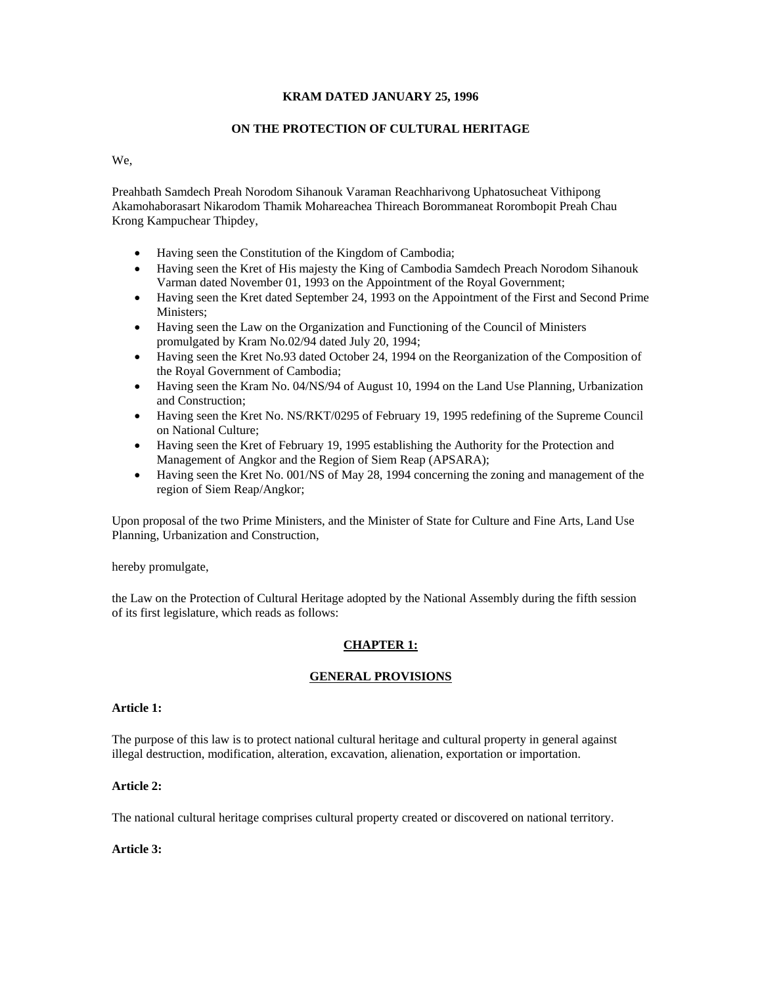# **KRAM DATED JANUARY 25, 1996**

# **ON THE PROTECTION OF CULTURAL HERITAGE**

We,

Preahbath Samdech Preah Norodom Sihanouk Varaman Reachharivong Uphatosucheat Vithipong Akamohaborasart Nikarodom Thamik Mohareachea Thireach Borommaneat Rorombopit Preah Chau Krong Kampuchear Thipdey,

- Having seen the Constitution of the Kingdom of Cambodia;
- Having seen the Kret of His majesty the King of Cambodia Samdech Preach Norodom Sihanouk Varman dated November 01, 1993 on the Appointment of the Royal Government;
- Having seen the Kret dated September 24, 1993 on the Appointment of the First and Second Prime Ministers;
- Having seen the Law on the Organization and Functioning of the Council of Ministers promulgated by Kram No.02/94 dated July 20, 1994;
- Having seen the Kret No.93 dated October 24, 1994 on the Reorganization of the Composition of the Royal Government of Cambodia;
- Having seen the Kram No. 04/NS/94 of August 10, 1994 on the Land Use Planning, Urbanization and Construction;
- Having seen the Kret No. NS/RKT/0295 of February 19, 1995 redefining of the Supreme Council on National Culture;
- Having seen the Kret of February 19, 1995 establishing the Authority for the Protection and Management of Angkor and the Region of Siem Reap (APSARA);
- Having seen the Kret No. 001/NS of May 28, 1994 concerning the zoning and management of the region of Siem Reap/Angkor;

Upon proposal of the two Prime Ministers, and the Minister of State for Culture and Fine Arts, Land Use Planning, Urbanization and Construction,

hereby promulgate,

the Law on the Protection of Cultural Heritage adopted by the National Assembly during the fifth session of its first legislature, which reads as follows:

# **CHAPTER 1:**

# **GENERAL PROVISIONS**

# **Article 1:**

The purpose of this law is to protect national cultural heritage and cultural property in general against illegal destruction, modification, alteration, excavation, alienation, exportation or importation.

# **Article 2:**

The national cultural heritage comprises cultural property created or discovered on national territory.

# **Article 3:**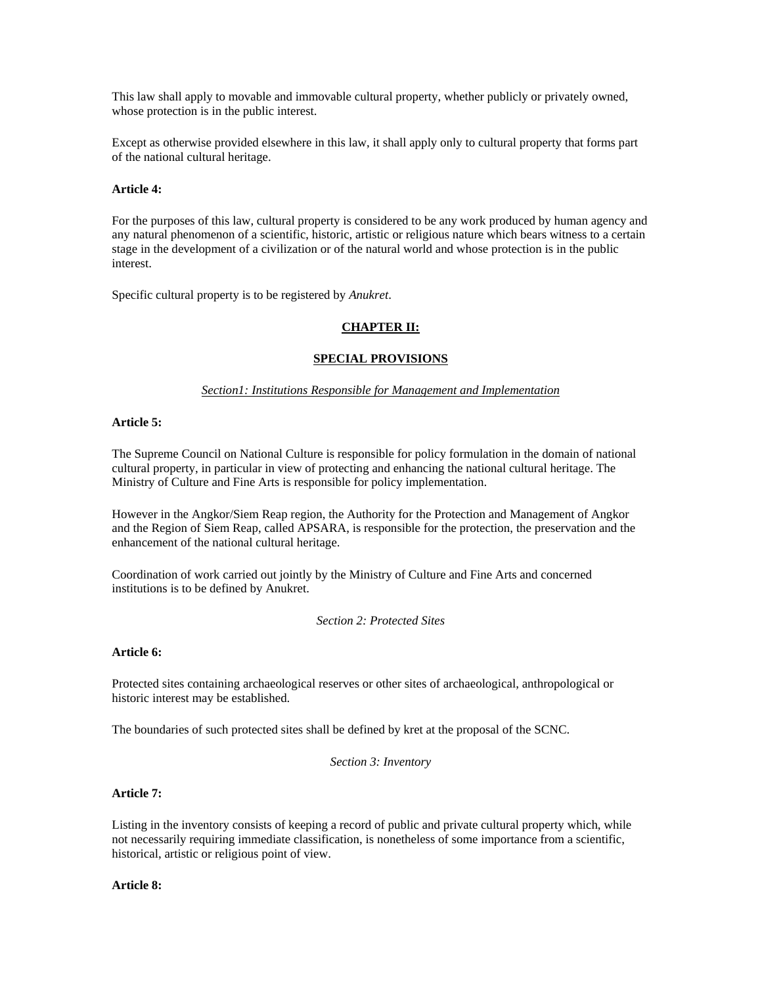This law shall apply to movable and immovable cultural property, whether publicly or privately owned, whose protection is in the public interest.

Except as otherwise provided elsewhere in this law, it shall apply only to cultural property that forms part of the national cultural heritage.

# **Article 4:**

For the purposes of this law, cultural property is considered to be any work produced by human agency and any natural phenomenon of a scientific, historic, artistic or religious nature which bears witness to a certain stage in the development of a civilization or of the natural world and whose protection is in the public interest.

Specific cultural property is to be registered by *Anukret*.

# **CHAPTER II:**

# **SPECIAL PROVISIONS**

# *Section1: Institutions Responsible for Management and Implementation*

# **Article 5:**

The Supreme Council on National Culture is responsible for policy formulation in the domain of national cultural property, in particular in view of protecting and enhancing the national cultural heritage. The Ministry of Culture and Fine Arts is responsible for policy implementation.

However in the Angkor/Siem Reap region, the Authority for the Protection and Management of Angkor and the Region of Siem Reap, called APSARA, is responsible for the protection, the preservation and the enhancement of the national cultural heritage.

Coordination of work carried out jointly by the Ministry of Culture and Fine Arts and concerned institutions is to be defined by Anukret.

*Section 2: Protected Sites* 

# **Article 6:**

Protected sites containing archaeological reserves or other sites of archaeological, anthropological or historic interest may be established.

The boundaries of such protected sites shall be defined by kret at the proposal of the SCNC.

*Section 3: Inventory* 

# **Article 7:**

Listing in the inventory consists of keeping a record of public and private cultural property which, while not necessarily requiring immediate classification, is nonetheless of some importance from a scientific, historical, artistic or religious point of view.

## **Article 8:**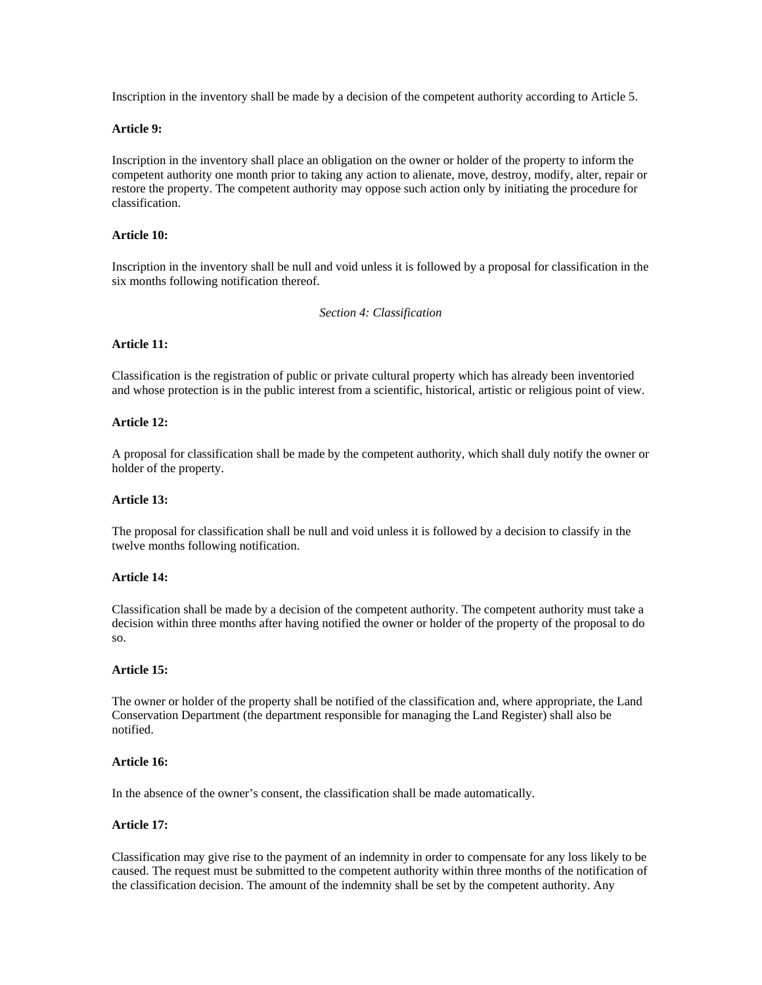Inscription in the inventory shall be made by a decision of the competent authority according to Article 5.

# **Article 9:**

Inscription in the inventory shall place an obligation on the owner or holder of the property to inform the competent authority one month prior to taking any action to alienate, move, destroy, modify, alter, repair or restore the property. The competent authority may oppose such action only by initiating the procedure for classification.

# **Article 10:**

Inscription in the inventory shall be null and void unless it is followed by a proposal for classification in the six months following notification thereof.

*Section 4: Classification* 

## **Article 11:**

Classification is the registration of public or private cultural property which has already been inventoried and whose protection is in the public interest from a scientific, historical, artistic or religious point of view.

## **Article 12:**

A proposal for classification shall be made by the competent authority, which shall duly notify the owner or holder of the property.

## **Article 13:**

The proposal for classification shall be null and void unless it is followed by a decision to classify in the twelve months following notification.

## **Article 14:**

Classification shall be made by a decision of the competent authority. The competent authority must take a decision within three months after having notified the owner or holder of the property of the proposal to do so.

## **Article 15:**

The owner or holder of the property shall be notified of the classification and, where appropriate, the Land Conservation Department (the department responsible for managing the Land Register) shall also be notified.

## **Article 16:**

In the absence of the owner's consent, the classification shall be made automatically.

## **Article 17:**

Classification may give rise to the payment of an indemnity in order to compensate for any loss likely to be caused. The request must be submitted to the competent authority within three months of the notification of the classification decision. The amount of the indemnity shall be set by the competent authority. Any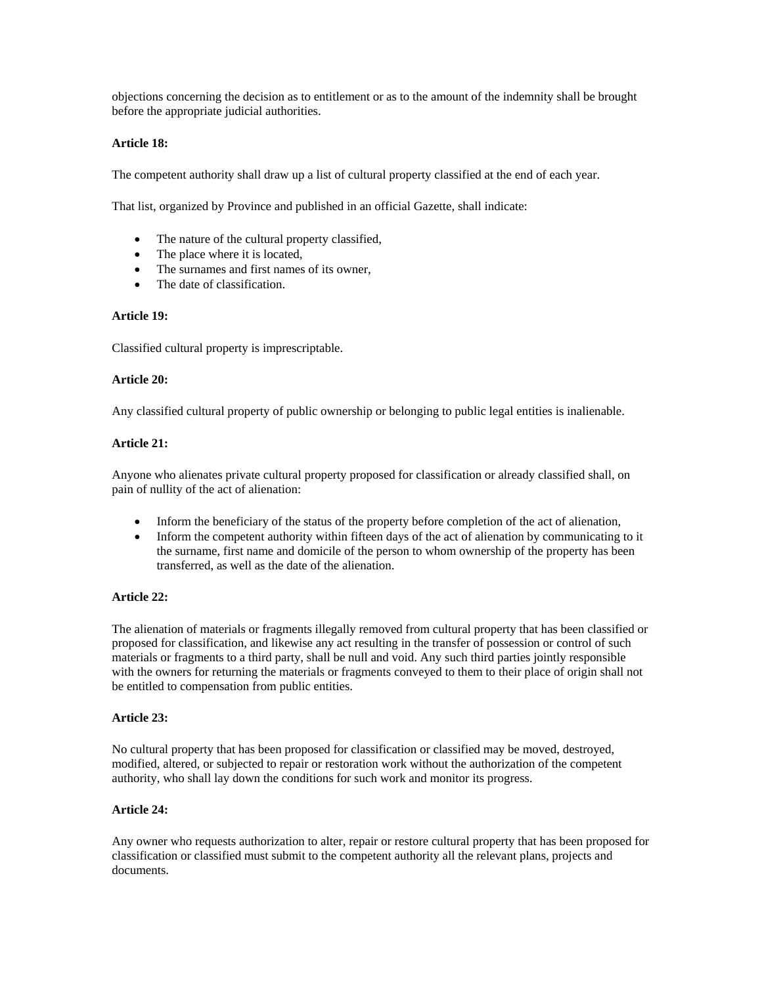objections concerning the decision as to entitlement or as to the amount of the indemnity shall be brought before the appropriate judicial authorities.

# **Article 18:**

The competent authority shall draw up a list of cultural property classified at the end of each year.

That list, organized by Province and published in an official Gazette, shall indicate:

- The nature of the cultural property classified,
- The place where it is located,
- The surnames and first names of its owner,
- The date of classification

# **Article 19:**

Classified cultural property is imprescriptable.

# **Article 20:**

Any classified cultural property of public ownership or belonging to public legal entities is inalienable.

# **Article 21:**

Anyone who alienates private cultural property proposed for classification or already classified shall, on pain of nullity of the act of alienation:

- Inform the beneficiary of the status of the property before completion of the act of alienation,
- Inform the competent authority within fifteen days of the act of alienation by communicating to it the surname, first name and domicile of the person to whom ownership of the property has been transferred, as well as the date of the alienation.

# **Article 22:**

The alienation of materials or fragments illegally removed from cultural property that has been classified or proposed for classification, and likewise any act resulting in the transfer of possession or control of such materials or fragments to a third party, shall be null and void. Any such third parties jointly responsible with the owners for returning the materials or fragments conveyed to them to their place of origin shall not be entitled to compensation from public entities.

# **Article 23:**

No cultural property that has been proposed for classification or classified may be moved, destroyed, modified, altered, or subjected to repair or restoration work without the authorization of the competent authority, who shall lay down the conditions for such work and monitor its progress.

# **Article 24:**

Any owner who requests authorization to alter, repair or restore cultural property that has been proposed for classification or classified must submit to the competent authority all the relevant plans, projects and documents.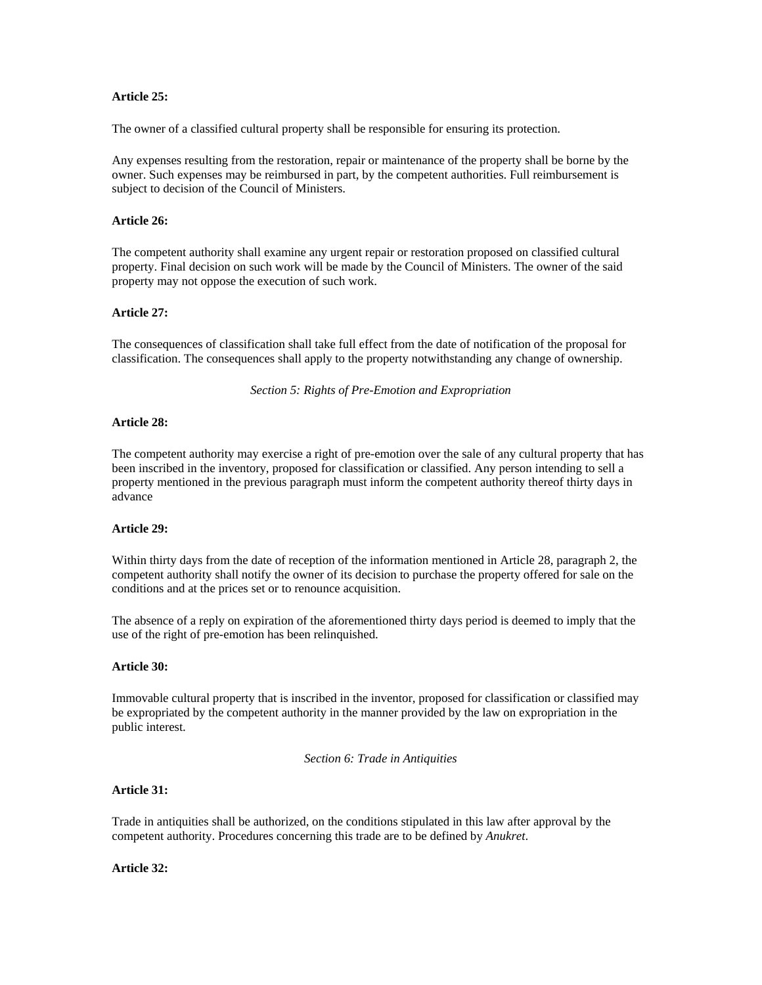# **Article 25:**

The owner of a classified cultural property shall be responsible for ensuring its protection.

Any expenses resulting from the restoration, repair or maintenance of the property shall be borne by the owner. Such expenses may be reimbursed in part, by the competent authorities. Full reimbursement is subject to decision of the Council of Ministers.

# **Article 26:**

The competent authority shall examine any urgent repair or restoration proposed on classified cultural property. Final decision on such work will be made by the Council of Ministers. The owner of the said property may not oppose the execution of such work.

## **Article 27:**

The consequences of classification shall take full effect from the date of notification of the proposal for classification. The consequences shall apply to the property notwithstanding any change of ownership.

*Section 5: Rights of Pre-Emotion and Expropriation* 

#### **Article 28:**

The competent authority may exercise a right of pre-emotion over the sale of any cultural property that has been inscribed in the inventory, proposed for classification or classified. Any person intending to sell a property mentioned in the previous paragraph must inform the competent authority thereof thirty days in advance

## **Article 29:**

Within thirty days from the date of reception of the information mentioned in Article 28, paragraph 2, the competent authority shall notify the owner of its decision to purchase the property offered for sale on the conditions and at the prices set or to renounce acquisition.

The absence of a reply on expiration of the aforementioned thirty days period is deemed to imply that the use of the right of pre-emotion has been relinquished.

## **Article 30:**

Immovable cultural property that is inscribed in the inventor, proposed for classification or classified may be expropriated by the competent authority in the manner provided by the law on expropriation in the public interest.

*Section 6: Trade in Antiquities* 

## **Article 31:**

Trade in antiquities shall be authorized, on the conditions stipulated in this law after approval by the competent authority. Procedures concerning this trade are to be defined by *Anukret*.

#### **Article 32:**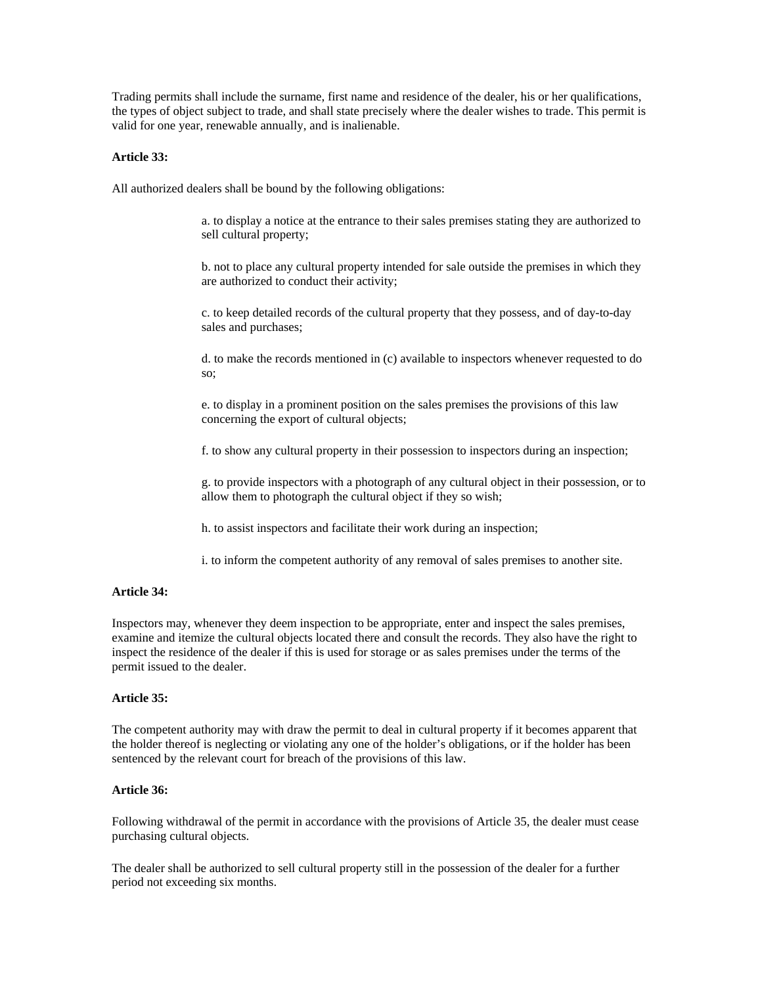Trading permits shall include the surname, first name and residence of the dealer, his or her qualifications, the types of object subject to trade, and shall state precisely where the dealer wishes to trade. This permit is valid for one year, renewable annually, and is inalienable.

# **Article 33:**

All authorized dealers shall be bound by the following obligations:

a. to display a notice at the entrance to their sales premises stating they are authorized to sell cultural property;

b. not to place any cultural property intended for sale outside the premises in which they are authorized to conduct their activity;

c. to keep detailed records of the cultural property that they possess, and of day-to-day sales and purchases;

d. to make the records mentioned in (c) available to inspectors whenever requested to do so;

e. to display in a prominent position on the sales premises the provisions of this law concerning the export of cultural objects;

f. to show any cultural property in their possession to inspectors during an inspection;

g. to provide inspectors with a photograph of any cultural object in their possession, or to allow them to photograph the cultural object if they so wish;

h. to assist inspectors and facilitate their work during an inspection;

i. to inform the competent authority of any removal of sales premises to another site.

# **Article 34:**

Inspectors may, whenever they deem inspection to be appropriate, enter and inspect the sales premises, examine and itemize the cultural objects located there and consult the records. They also have the right to inspect the residence of the dealer if this is used for storage or as sales premises under the terms of the permit issued to the dealer.

## **Article 35:**

The competent authority may with draw the permit to deal in cultural property if it becomes apparent that the holder thereof is neglecting or violating any one of the holder's obligations, or if the holder has been sentenced by the relevant court for breach of the provisions of this law.

#### **Article 36:**

Following withdrawal of the permit in accordance with the provisions of Article 35, the dealer must cease purchasing cultural objects.

The dealer shall be authorized to sell cultural property still in the possession of the dealer for a further period not exceeding six months.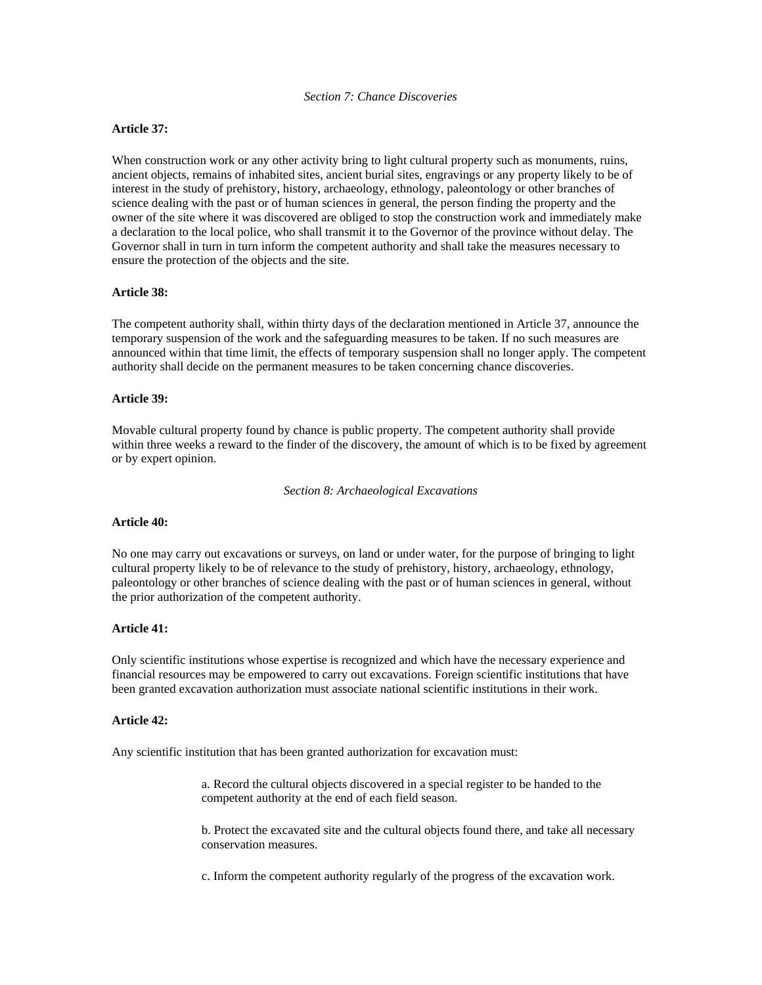# *Section 7: Chance Discoveries*

# **Article 37:**

When construction work or any other activity bring to light cultural property such as monuments, ruins, ancient objects, remains of inhabited sites, ancient burial sites, engravings or any property likely to be of interest in the study of prehistory, history, archaeology, ethnology, paleontology or other branches of science dealing with the past or of human sciences in general, the person finding the property and the owner of the site where it was discovered are obliged to stop the construction work and immediately make a declaration to the local police, who shall transmit it to the Governor of the province without delay. The Governor shall in turn in turn inform the competent authority and shall take the measures necessary to ensure the protection of the objects and the site.

## **Article 38:**

The competent authority shall, within thirty days of the declaration mentioned in Article 37, announce the temporary suspension of the work and the safeguarding measures to be taken. If no such measures are announced within that time limit, the effects of temporary suspension shall no longer apply. The competent authority shall decide on the permanent measures to be taken concerning chance discoveries.

## **Article 39:**

Movable cultural property found by chance is public property. The competent authority shall provide within three weeks a reward to the finder of the discovery, the amount of which is to be fixed by agreement or by expert opinion.

*Section 8: Archaeological Excavations* 

## **Article 40:**

No one may carry out excavations or surveys, on land or under water, for the purpose of bringing to light cultural property likely to be of relevance to the study of prehistory, history, archaeology, ethnology, paleontology or other branches of science dealing with the past or of human sciences in general, without the prior authorization of the competent authority.

# **Article 41:**

Only scientific institutions whose expertise is recognized and which have the necessary experience and financial resources may be empowered to carry out excavations. Foreign scientific institutions that have been granted excavation authorization must associate national scientific institutions in their work.

## **Article 42:**

Any scientific institution that has been granted authorization for excavation must:

a. Record the cultural objects discovered in a special register to be handed to the competent authority at the end of each field season.

b. Protect the excavated site and the cultural objects found there, and take all necessary conservation measures.

c. Inform the competent authority regularly of the progress of the excavation work.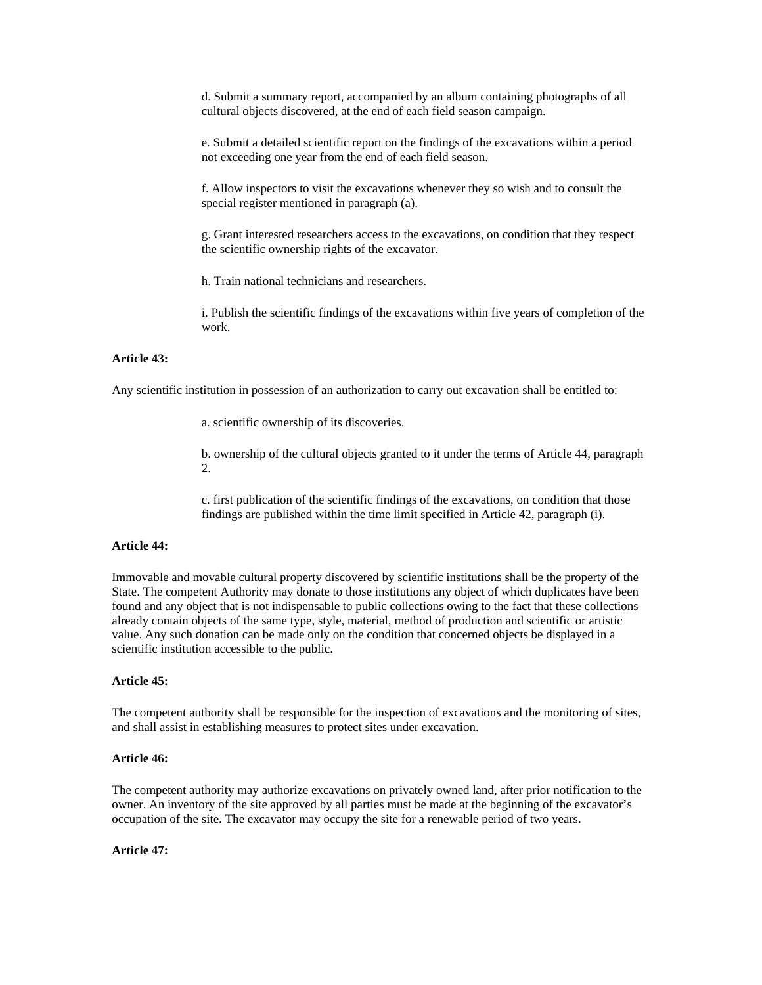d. Submit a summary report, accompanied by an album containing photographs of all cultural objects discovered, at the end of each field season campaign.

e. Submit a detailed scientific report on the findings of the excavations within a period not exceeding one year from the end of each field season.

f. Allow inspectors to visit the excavations whenever they so wish and to consult the special register mentioned in paragraph (a).

g. Grant interested researchers access to the excavations, on condition that they respect the scientific ownership rights of the excavator.

h. Train national technicians and researchers.

i. Publish the scientific findings of the excavations within five years of completion of the work.

# **Article 43:**

Any scientific institution in possession of an authorization to carry out excavation shall be entitled to:

a. scientific ownership of its discoveries.

b. ownership of the cultural objects granted to it under the terms of Article 44, paragraph 2.

c. first publication of the scientific findings of the excavations, on condition that those findings are published within the time limit specified in Article 42, paragraph (i).

## **Article 44:**

Immovable and movable cultural property discovered by scientific institutions shall be the property of the State. The competent Authority may donate to those institutions any object of which duplicates have been found and any object that is not indispensable to public collections owing to the fact that these collections already contain objects of the same type, style, material, method of production and scientific or artistic value. Any such donation can be made only on the condition that concerned objects be displayed in a scientific institution accessible to the public.

#### **Article 45:**

The competent authority shall be responsible for the inspection of excavations and the monitoring of sites, and shall assist in establishing measures to protect sites under excavation.

# **Article 46:**

The competent authority may authorize excavations on privately owned land, after prior notification to the owner. An inventory of the site approved by all parties must be made at the beginning of the excavator's occupation of the site. The excavator may occupy the site for a renewable period of two years.

#### **Article 47:**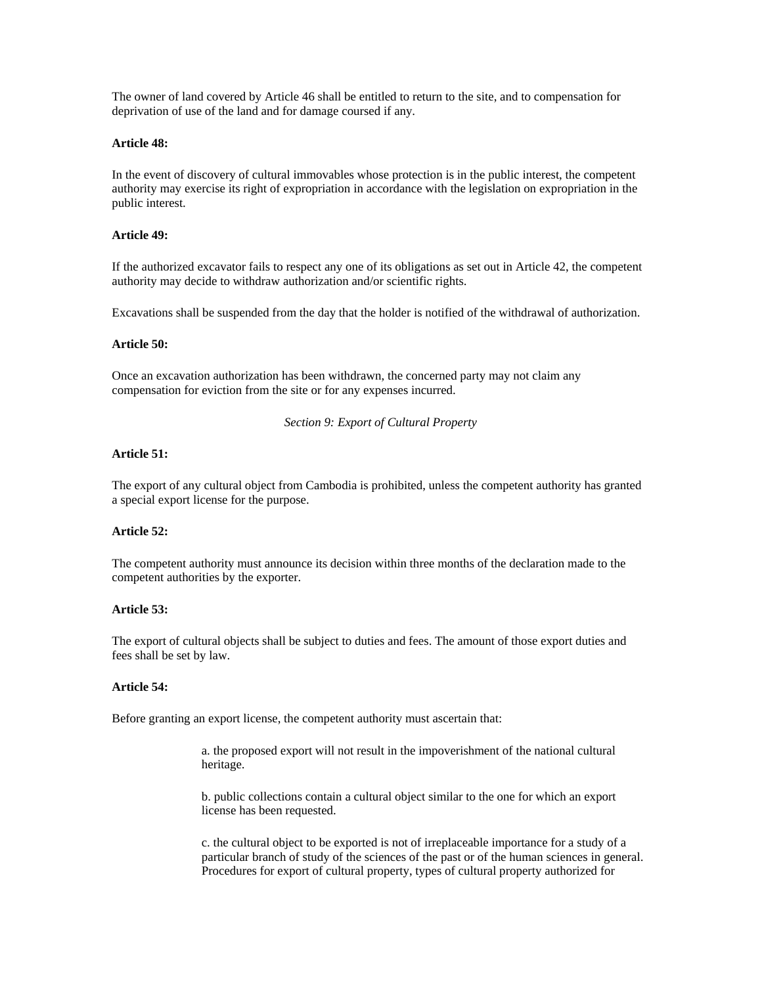The owner of land covered by Article 46 shall be entitled to return to the site, and to compensation for deprivation of use of the land and for damage coursed if any.

# **Article 48:**

In the event of discovery of cultural immovables whose protection is in the public interest, the competent authority may exercise its right of expropriation in accordance with the legislation on expropriation in the public interest.

# **Article 49:**

If the authorized excavator fails to respect any one of its obligations as set out in Article 42, the competent authority may decide to withdraw authorization and/or scientific rights.

Excavations shall be suspended from the day that the holder is notified of the withdrawal of authorization.

## **Article 50:**

Once an excavation authorization has been withdrawn, the concerned party may not claim any compensation for eviction from the site or for any expenses incurred.

## *Section 9: Export of Cultural Property*

## **Article 51:**

The export of any cultural object from Cambodia is prohibited, unless the competent authority has granted a special export license for the purpose.

## **Article 52:**

The competent authority must announce its decision within three months of the declaration made to the competent authorities by the exporter.

# **Article 53:**

The export of cultural objects shall be subject to duties and fees. The amount of those export duties and fees shall be set by law.

# **Article 54:**

Before granting an export license, the competent authority must ascertain that:

a. the proposed export will not result in the impoverishment of the national cultural heritage.

b. public collections contain a cultural object similar to the one for which an export license has been requested.

c. the cultural object to be exported is not of irreplaceable importance for a study of a particular branch of study of the sciences of the past or of the human sciences in general. Procedures for export of cultural property, types of cultural property authorized for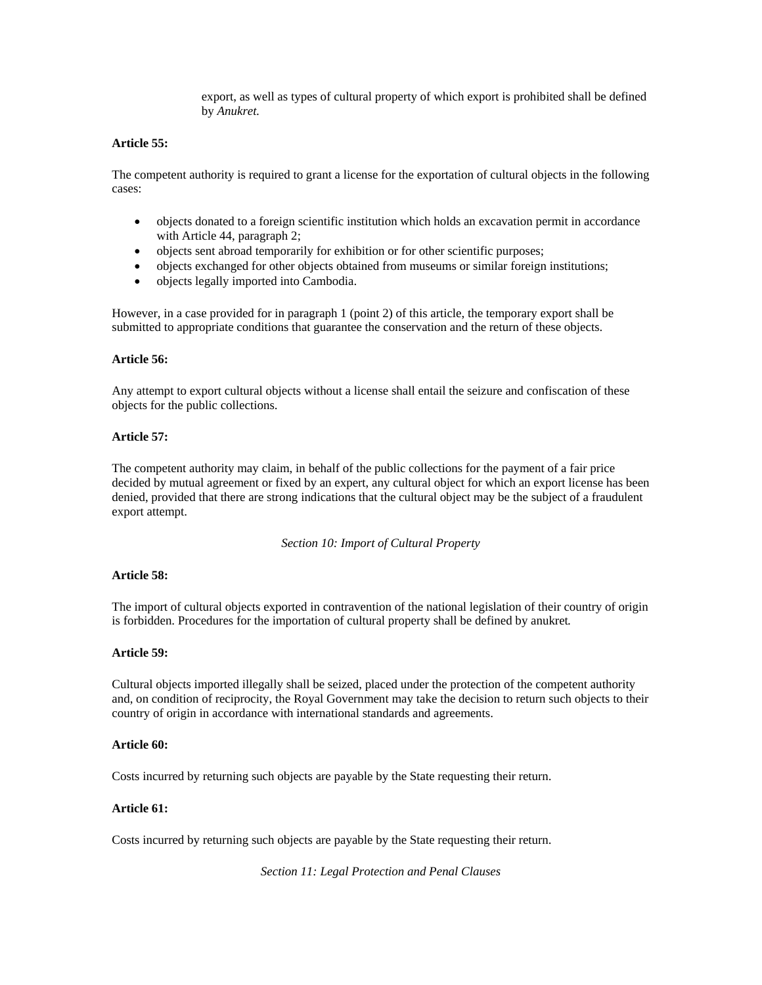export, as well as types of cultural property of which export is prohibited shall be defined by *Anukret.*

# **Article 55:**

The competent authority is required to grant a license for the exportation of cultural objects in the following cases:

- objects donated to a foreign scientific institution which holds an excavation permit in accordance with Article 44, paragraph 2;
- objects sent abroad temporarily for exhibition or for other scientific purposes;
- objects exchanged for other objects obtained from museums or similar foreign institutions;
- objects legally imported into Cambodia.

However, in a case provided for in paragraph 1 (point 2) of this article, the temporary export shall be submitted to appropriate conditions that guarantee the conservation and the return of these objects.

# **Article 56:**

Any attempt to export cultural objects without a license shall entail the seizure and confiscation of these objects for the public collections.

# **Article 57:**

The competent authority may claim, in behalf of the public collections for the payment of a fair price decided by mutual agreement or fixed by an expert, any cultural object for which an export license has been denied, provided that there are strong indications that the cultural object may be the subject of a fraudulent export attempt.

*Section 10: Import of Cultural Property* 

# **Article 58:**

The import of cultural objects exported in contravention of the national legislation of their country of origin is forbidden. Procedures for the importation of cultural property shall be defined by anukret*.* 

## **Article 59:**

Cultural objects imported illegally shall be seized, placed under the protection of the competent authority and, on condition of reciprocity, the Royal Government may take the decision to return such objects to their country of origin in accordance with international standards and agreements.

## **Article 60:**

Costs incurred by returning such objects are payable by the State requesting their return.

# **Article 61:**

Costs incurred by returning such objects are payable by the State requesting their return.

*Section 11: Legal Protection and Penal Clauses*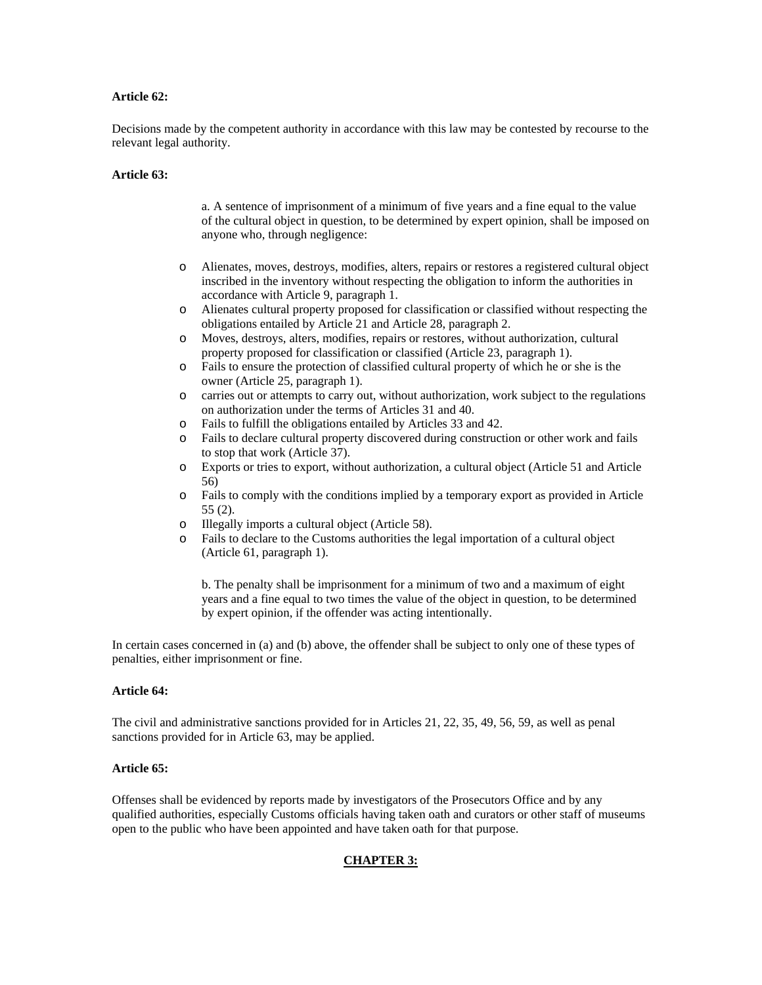# **Article 62:**

Decisions made by the competent authority in accordance with this law may be contested by recourse to the relevant legal authority.

### **Article 63:**

a. A sentence of imprisonment of a minimum of five years and a fine equal to the value of the cultural object in question, to be determined by expert opinion, shall be imposed on anyone who, through negligence:

- o Alienates, moves, destroys, modifies, alters, repairs or restores a registered cultural object inscribed in the inventory without respecting the obligation to inform the authorities in accordance with Article 9, paragraph 1.
- o Alienates cultural property proposed for classification or classified without respecting the obligations entailed by Article 21 and Article 28, paragraph 2.
- o Moves, destroys, alters, modifies, repairs or restores, without authorization, cultural property proposed for classification or classified (Article 23, paragraph 1).
- o Fails to ensure the protection of classified cultural property of which he or she is the owner (Article 25, paragraph 1).
- o carries out or attempts to carry out, without authorization, work subject to the regulations on authorization under the terms of Articles 31 and 40.
- o Fails to fulfill the obligations entailed by Articles 33 and 42.
- o Fails to declare cultural property discovered during construction or other work and fails to stop that work (Article 37).
- o Exports or tries to export, without authorization, a cultural object (Article 51 and Article 56)
- o Fails to comply with the conditions implied by a temporary export as provided in Article 55 (2).
- o Illegally imports a cultural object (Article 58).
- o Fails to declare to the Customs authorities the legal importation of a cultural object (Article 61, paragraph 1).

b. The penalty shall be imprisonment for a minimum of two and a maximum of eight years and a fine equal to two times the value of the object in question, to be determined by expert opinion, if the offender was acting intentionally.

In certain cases concerned in (a) and (b) above, the offender shall be subject to only one of these types of penalties, either imprisonment or fine.

# **Article 64:**

The civil and administrative sanctions provided for in Articles 21, 22, 35, 49, 56, 59, as well as penal sanctions provided for in Article 63, may be applied.

#### **Article 65:**

Offenses shall be evidenced by reports made by investigators of the Prosecutors Office and by any qualified authorities, especially Customs officials having taken oath and curators or other staff of museums open to the public who have been appointed and have taken oath for that purpose.

## **CHAPTER 3:**